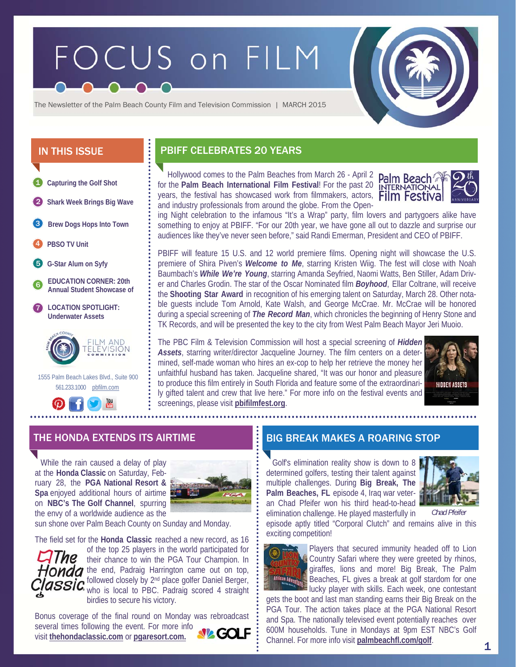# FOCUS on FILM



The Newsletter of the Palm Beach County Film and Television Commission | MARCH 2015

- **Capturing the Golf Shot**  1
- 2 **Shark Week Brings Big Wave**
- **Brew Dogs Hops Into Town**  3
- 4 **PBSO TV Unit**
- 5 **G-Star Alum on Syfy**
- 6 **EDUCATION CORNER: 20th Annual Student Showcase of**
- **LOCATION SPOTLIGHT: Underwater Assets**  7



 1555 Palm Beach Lakes Blvd., Suite 900 561.233.1000 pbfilm.com



# IN THIS ISSUE **PBIFF CELEBRATES 20 YEARS**

 Hollywood comes to the Palm Beaches from March 26 - April 2 for the **Palm Beach International Film Festival**! For the past 20 years, the festival has showcased work from filmmakers, actors, and industry professionals from around the globe. From the Open-



ing Night celebration to the infamous "It's a Wrap" party, film lovers and partygoers alike have something to enjoy at PBIFF. "For our 20th year, we have gone all out to dazzle and surprise our audiences like they've never seen before," said Randi Emerman, President and CEO of PBIFF.

PBIFF will feature 15 U.S. and 12 world premiere films. Opening night will showcase the U.S. premiere of Shira Piven's *Welcome to Me*, starring Kristen Wiig. The fest will close with Noah Baumbach's *While We're Young*, starring Amanda Seyfried, Naomi Watts, Ben Stiller, Adam Driver and Charles Grodin. The star of the Oscar Nominated film *Boyhood*, Ellar Coltrane, will receive the **Shooting Star Award** in recognition of his emerging talent on Saturday, March 28. Other notable guests include Tom Arnold, Kate Walsh, and George McCrae. Mr. McCrae will be honored during a special screening of *The Record Man*, which chronicles the beginning of Henry Stone and TK Records, and will be presented the key to the city from West Palm Beach Mayor Jeri Muoio.

The PBC Film & Television Commission will host a special screening of *Hidden Assets*, starring writer/director Jacqueline Journey. The film centers on a determined, self-made woman who hires an ex-cop to help her retrieve the money her unfaithful husband has taken. Jacqueline shared, "It was our honor and pleasure to produce this film entirely in South Florida and feature some of the extraordinarily gifted talent and crew that live here." For more info on the festival events and screenings, please visit **pbifilmfest.org**.



 While the rain caused a delay of play at the **Honda Classic** on Saturday, February 28, the **PGA National Resort & Spa** enjoyed additional hours of airtime on **NBC's The Golf Channel**, spurring the envy of a worldwide audience as the



sun shone over Palm Beach County on Sunday and Monday.

The field set for the **Honda Classic** reached a new record, as 16

of the top 25 players in the world participated for their chance to win the PGA Tour Champion. In Honda the end, Padraig Harrington came out on top, followed closely by 2<sup>nd</sup> place golfer Daniel Berger, who is local to PBC. Padraig scored 4 straight birdies to secure his victory.

Bonus coverage of the final round on Monday was rebroadcast several times following the event. For more info visit **thehondaclassic.com** or **pgaresort.com.**

#### THE HONDA EXTENDS ITS AIRTIME BIG BREAK MAKES A ROARING STOP

 Golf's elimination reality show is down to 8 determined golfers, testing their talent against multiple challenges. During **Big Break, The Palm Beaches, FL** episode 4, Iraq war veteran Chad Pfeifer won his third head-to-head elimination challenge. He played masterfully in



episode aptly titled "Corporal Clutch" and remains alive in this exciting competition! *Chad Pfeifer*



Players that secured immunity headed off to Lion Country Safari where they were greeted by rhinos, giraffes, lions and more! Big Break, The Palm Beaches, FL gives a break at golf stardom for one lucky player with skills. Each week, one contestant

gets the boot and last man standing earns their Big Break on the PGA Tour. The action takes place at the PGA National Resort and Spa. The nationally televised event potentially reaches over 600M households. Tune in Mondays at 9pm EST NBC's Golf Channel. For more info visit **palmbeachfl.com/golf**.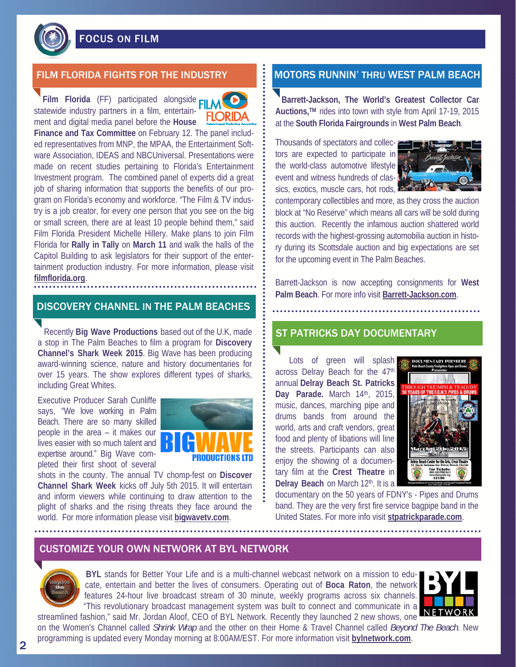# FOCUS ON FILM

**Film Florida** (FF) participated alongside **CII** statewide industry partners in a film, entertainment and digital media panel before the **House** 



**Finance and Tax Committee** on February 12. The panel included representatives from MNP, the MPAA, the Entertainment Software Association, IDEAS and NBCUniversal. Presentations were made on recent studies pertaining to Florida's Entertainment Investment program. The combined panel of experts did a great job of sharing information that supports the benefits of our program on Florida's economy and workforce. "The Film & TV industry is a job creator, for every one person that you see on the big or small screen, there are at least 10 people behind them," said Film Florida President Michelle Hillery. Make plans to join Film Florida for **Rally in Tally** on **March 11** and walk the halls of the Capitol Building to ask legislators for their support of the entertainment production industry. For more information, please visit **filmflorida.org**.

# DISCOVERY CHANNEL IN THE PALM BEACHES

 Recently **Big Wave Productions** based out of the U.K, made a stop in The Palm Beaches to film a program for **Discovery Channel's Shark Week 2015**. Big Wave has been producing award-winning science, nature and history documentaries for over 15 years. The show explores different types of sharks, including Great Whites.

Executive Producer Sarah Cunliffe says, "We love working in Palm Beach. There are so many skilled people in the area – it makes our lives easier with so much talent and expertise around." Big Wave completed their first shoot of several



shots in the county. The annual TV chomp-fest on **Discover Channel Shark Week** kicks off July 5th 2015. It will entertain and inform viewers while continuing to draw attention to the plight of sharks and the rising threats they face around the world. For more information please visit **bigwavetv.com**.

## FILM FLORIDA FIGHTS FOR THE INDUSTRY **The INDUST RUNNIN' THRU WEST PALM BEACH**

**Barrett-Jackson, The World's Greatest Collector Car Auctions,TM** rides into town with style from April 17-19, 2015 at the **South Florida Fairgrounds** in **West Palm Beach**.

Thousands of spectators and collectors are expected to participate in the world-class automotive lifestyle event and witness hundreds of classics, exotics, muscle cars, hot rods,



contemporary collectibles and more, as they cross the auction block at "No Reserve" which means all cars will be sold during this auction. Recently the infamous auction shattered world records with the highest-grossing automobilia auction in history during its Scottsdale auction and big expectations are set for the upcoming event in The Palm Beaches.

Barrett-Jackson is now accepting consignments for **West Palm Beach**. For more info visit **Barrett-Jackson.com**.

#### ST PATRICKS DAY DOCUMENTARY

 Lots of green will splash across Delray Beach for the 47th annual **Delray Beach St. Patricks Day Parade.** March 14th, 2015, music, dances, marching pipe and drums bands from around the world, arts and craft vendors, great food and plenty of libations will line the streets. Participants can also enjoy the showing of a documentary film at the **Crest Theatre** in **Delray Beach** on March 12th. It is a



documentary on the 50 years of FDNY's - Pipes and Drums band. They are the very first fire service bagpipe band in the United States. For more info visit **stpatrickparade.com**.

#### CUSTOMIZE YOUR OWN NETWORK AT BYL NETWORK



**BYL** stands for Better Your Life and is a multi-channel webcast network on a mission to educate, entertain and better the lives of consumers. Operating out of **Boca Raton**, the network features 24-hour live broadcast stream of 30 minute, weekly programs across six channels. "This revolutionary broadcast management system was built to connect and communicate in a



streamlined fashion," said Mr. Jordan Aloof, CEO of BYL Network. Recently they launched 2 new shows, one on the Women's Channel called *Shrink Wrap* and the other on their Home & Travel Channel called *Beyond The Beach*. New programming is updated every Monday morning at 8:00AM/EST. For more information visit **bylnetwork.com**.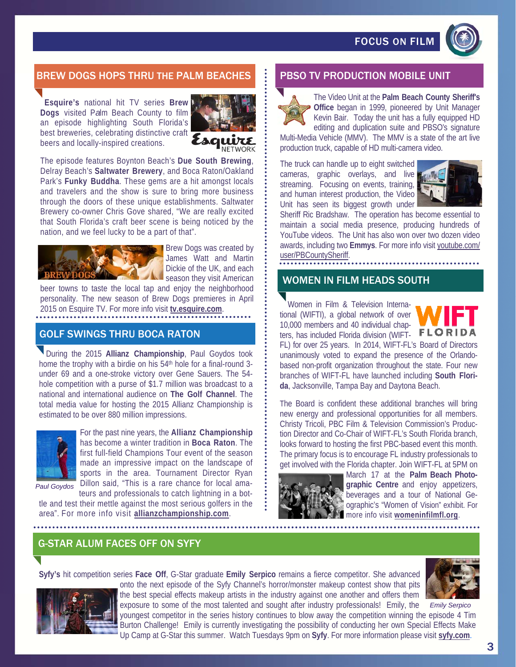# FOCUS ON FILM



### BREW DOGS HOPS THRU THE PALM BEACHES **PRIMIPS BEACH PRODUCTION MOBILE UNIT**

**Esquire's** national hit TV series **Brew Dogs** visited P*a*lm Beach County to film an episode highlighting South Florida's best breweries, celebrating distinctive craft beers and locally-inspired creations.



**VETWORK** 

The episode features Boynton Beach's **Due South Brewing**, Delray Beach's **Saltwater Brewery**, and Boca Raton/Oakland Park's **Funky Buddha**. These gems are a hit amongst locals and travelers and the show is sure to bring more business through the doors of these unique establishments. Saltwater Brewery co-owner Chris Gove shared, "We are really excited that South Florida's craft beer scene is being noticed by the nation, and we feel lucky to be a part of that".



Brew Dogs was created by James Watt and Martin Dickie of the UK, and each season they visit American

beer towns to taste the local tap and enjoy the neighborhood personality. The new season of Brew Dogs premieres in April 2015 on Esquire TV. For more info visit **tv.esquire.com**.

#### GOLF SWINGS THRU BOCA RATON

During the 2015 **Allianz Championship**, Paul Goydos took home the trophy with a birdie on his 54<sup>th</sup> hole for a final-round 3under 69 and a one-stroke victory over Gene Sauers. The 54 hole competition with a purse of \$1.7 million was broadcast to a national and international audience on **The Golf Channel**. The total media value for hosting the 2015 Allianz Championship is estimated to be over 880 million impressions.



For the past nine years, the **Allianz Championship** has become a winter tradition in **Boca Raton**. The first full-field Champions Tour event of the season made an impressive impact on the landscape of sports in the area. Tournament Director Ryan Dillon said, "This is a rare chance for local amateurs and professionals to catch lightning in a bot-

*Paul Goydos* 

tle and test their mettle against the most serious golfers in the area". For more info visit **allianzchampionship.com**.



The Video Unit at the **Palm Beach County Sheriff's Office** began in 1999, pioneered by Unit Manager Kevin Bair. Today the unit has a fully equipped HD editing and duplication suite and PBSO's signature

Multi-Media Vehicle (MMV). The MMV is a state of the art live production truck, capable of HD multi-camera video.

The truck can handle up to eight switched cameras, graphic overlays, and live streaming. Focusing on events, training, and human interest production, the Video Unit has seen its biggest growth under



Sheriff Ric Bradshaw. The operation has become essential to maintain a social media presence, producing hundreds of YouTube videos. The Unit has also won over two dozen video awards, including two **Emmys**. For more info visit youtube.com/ user/PBCountySheriff.

#### WOMEN IN FILM HEADS SOUTH

 Women in Film & Television International (WIFTI), a global network of over 10,000 members and 40 individual chapters, has included Florida division (WIFT- FL FL) for over 25 years. In 2014, WIFT-FL's Board of Directors unanimously voted to expand the presence of the Orlandobased non-profit organization throughout the state. Four new branches of WIFT-FL have launched including **South Florida**, Jacksonville, Tampa Bay and Daytona Beach.

The Board is confident these additional branches will bring new energy and professional opportunities for all members. Christy Tricoli, PBC Film & Television Commission's Production Director and Co-Chair of WIFT-FL's South Florida branch, looks forward to hosting the first PBC-based event this month. The primary focus is to encourage FL industry professionals to get involved with the Florida chapter. Join WIFT-FL at 5PM on



March 17 at the **Palm Beach Photographic Centre** and enjoy appetizers, beverages and a tour of National Geographic's "Women of Vision" exhibit. For more info visit **womeninfilmfl.org**.

#### G-STAR ALUM FACES OFF ON SYFY

**Syfy's** hit competition series **Face Off**, G-Star graduate **Emily Serpico** remains a fierce competitor. She advanced



onto the next episode of the Syfy Channel's horror/monster makeup contest show that pits the best special effects makeup artists in the industry against one another and offers them exposure to some of the most talented and sought after industry professionals! Emily, the youngest competitor in the series history continues to blow away the competition winning the episode 4 Tim



Burton Challenge! Emily is currently investigating the possibility of conducting her own Special Effects Make Up Camp at G-Star this summer. Watch Tuesdays 9pm on **Syfy**. For more information please visit **syfy.com**. *Emily Serpico*